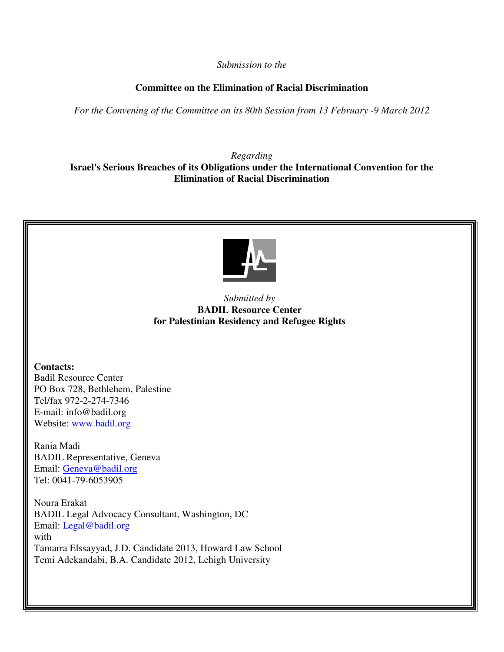#### *Submission to the*

# **Committee on the Elimination of Racial Discrimination**

*For the Convening of the Committee on its 80th Session from 13 February -9 March 2012*

*Regarding*  **Israel's Serious Breaches of its Obligations under the International Convention for the Elimination of Racial Discrimination** 

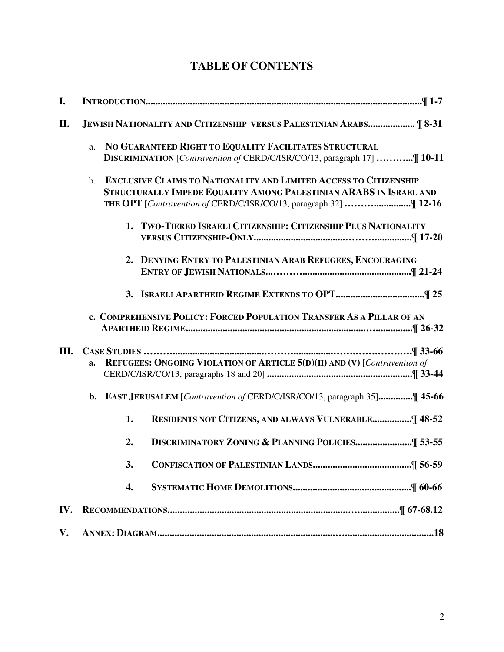| I.  |                                                                                                                                                          |
|-----|----------------------------------------------------------------------------------------------------------------------------------------------------------|
| II. | <b>JEWISH NATIONALITY AND CITIZENSHIP VERSUS PALESTINIAN ARABS</b> [8-31                                                                                 |
|     | NO GUARANTEED RIGHT TO EQUALITY FACILITATES STRUCTURAL<br>a.                                                                                             |
|     | EXCLUSIVE CLAIMS TO NATIONALITY AND LIMITED ACCESS TO CITIZENSHIP<br>$\mathbf b$ .<br>STRUCTURALLY IMPEDE EQUALITY AMONG PALESTINIAN ARABS IN ISRAEL AND |
|     | 1. TWO-TIERED ISRAELI CITIZENSHIP: CITIZENSHIP PLUS NATIONALITY                                                                                          |
|     | 2. DENYING ENTRY TO PALESTINIAN ARAB REFUGEES, ENCOURAGING                                                                                               |
|     |                                                                                                                                                          |
|     | c. COMPREHENSIVE POLICY: FORCED POPULATION TRANSFER AS A PILLAR OF AN                                                                                    |
| Ш.  | REFUGEES: ONGOING VIOLATION OF ARTICLE 5(D)(II) AND (V) [Contravention of<br>a.                                                                          |
|     |                                                                                                                                                          |
|     | 1.                                                                                                                                                       |
|     | 2.                                                                                                                                                       |
|     | <b>CONFISCATION OF PALESTINIAN LANDS</b><br>¶ 56-59<br>3.                                                                                                |
|     | 4.                                                                                                                                                       |
| IV. |                                                                                                                                                          |
| V.  |                                                                                                                                                          |

# **TABLE OF CONTENTS**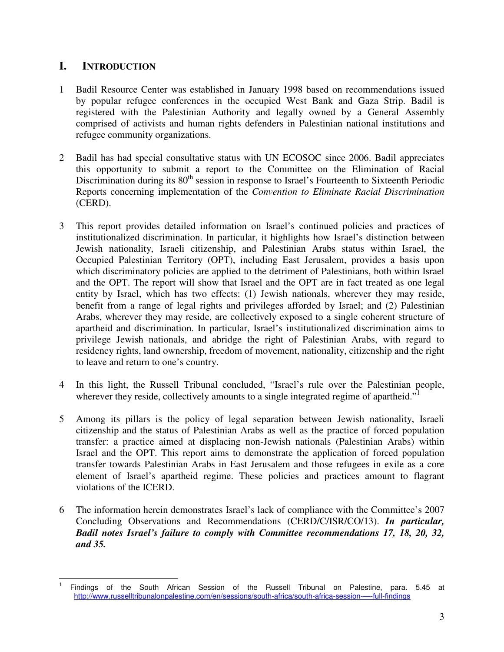# **I. INTRODUCTION**

- 1 Badil Resource Center was established in January 1998 based on recommendations issued by popular refugee conferences in the occupied West Bank and Gaza Strip. Badil is registered with the Palestinian Authority and legally owned by a General Assembly comprised of activists and human rights defenders in Palestinian national institutions and refugee community organizations.
- 2 Badil has had special consultative status with UN ECOSOC since 2006. Badil appreciates this opportunity to submit a report to the Committee on the Elimination of Racial Discrimination during its 80<sup>th</sup> session in response to Israel's Fourteenth to Sixteenth Periodic Reports concerning implementation of the *Convention to Eliminate Racial Discrimination* (CERD).
- 3 This report provides detailed information on Israel's continued policies and practices of institutionalized discrimination. In particular, it highlights how Israel's distinction between Jewish nationality, Israeli citizenship, and Palestinian Arabs status within Israel, the Occupied Palestinian Territory (OPT), including East Jerusalem, provides a basis upon which discriminatory policies are applied to the detriment of Palestinians, both within Israel and the OPT. The report will show that Israel and the OPT are in fact treated as one legal entity by Israel, which has two effects: (1) Jewish nationals, wherever they may reside, benefit from a range of legal rights and privileges afforded by Israel; and (2) Palestinian Arabs, wherever they may reside, are collectively exposed to a single coherent structure of apartheid and discrimination. In particular, Israel's institutionalized discrimination aims to privilege Jewish nationals, and abridge the right of Palestinian Arabs, with regard to residency rights, land ownership, freedom of movement, nationality, citizenship and the right to leave and return to one's country.
- 4 In this light, the Russell Tribunal concluded, "Israel's rule over the Palestinian people, wherever they reside, collectively amounts to a single integrated regime of apartheid."
- 5 Among its pillars is the policy of legal separation between Jewish nationality, Israeli citizenship and the status of Palestinian Arabs as well as the practice of forced population transfer: a practice aimed at displacing non-Jewish nationals (Palestinian Arabs) within Israel and the OPT. This report aims to demonstrate the application of forced population transfer towards Palestinian Arabs in East Jerusalem and those refugees in exile as a core element of Israel's apartheid regime. These policies and practices amount to flagrant violations of the ICERD.
- 6 The information herein demonstrates Israel's lack of compliance with the Committee's 2007 Concluding Observations and Recommendations (CERD/C/ISR/CO/13). *In particular, Badil notes Israel's failure to comply with Committee recommendations 17, 18, 20, 32, and 35.*

 $\overline{\phantom{a}}$ 1 Findings of the South African Session of the Russell Tribunal on Palestine, para. 5.45 at http://www.russelltribunalonpalestine.com/en/sessions/south-africa/south-africa-session-—-full-findings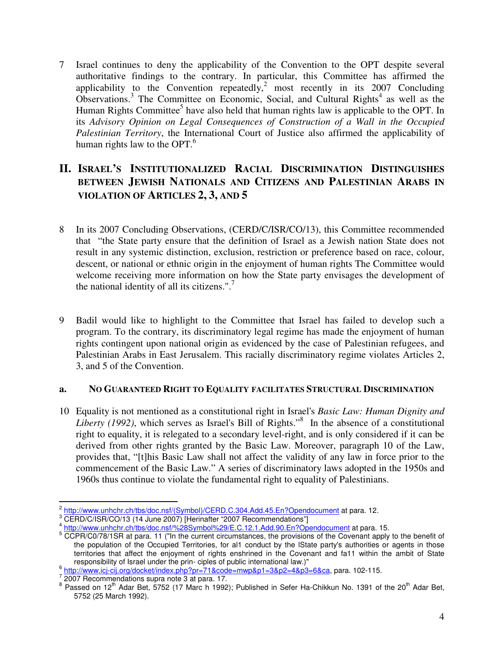7 Israel continues to deny the applicability of the Convention to the OPT despite several authoritative findings to the contrary. In particular, this Committee has affirmed the applicability to the Convention repeatedly,<sup>2</sup> most recently in its 2007 Concluding Observations.<sup>3</sup> The Committee on Economic, Social, and Cultural Rights<sup>4</sup> as well as the Human Rights Committee<sup>5</sup> have also held that human rights law is applicable to the OPT. In its *Advisory Opinion on Legal Consequences of Construction of a Wall in the Occupied Palestinian Territory*, the International Court of Justice also affirmed the applicability of human rights law to the OPT.<sup>6</sup>

# **II. ISRAEL'S INSTITUTIONALIZED RACIAL DISCRIMINATION DISTINGUISHES BETWEEN JEWISH NATIONALS AND CITIZENS AND PALESTINIAN ARABS IN VIOLATION OF ARTICLES 2, 3, AND 5**

- 8 In its 2007 Concluding Observations, (CERD/C/ISR/CO/13), this Committee recommended that "the State party ensure that the definition of Israel as a Jewish nation State does not result in any systemic distinction, exclusion, restriction or preference based on race, colour, descent, or national or ethnic origin in the enjoyment of human rights The Committee would welcome receiving more information on how the State party envisages the development of the national identity of all its citizens.".<sup>7</sup>
- 9 Badil would like to highlight to the Committee that Israel has failed to develop such a program. To the contrary, its discriminatory legal regime has made the enjoyment of human rights contingent upon national origin as evidenced by the case of Palestinian refugees, and Palestinian Arabs in East Jerusalem. This racially discriminatory regime violates Articles 2, 3, and 5 of the Convention.

# **a. NO GUARANTEED RIGHT TO EQUALITY FACILITATES STRUCTURAL DISCRIMINATION**

10 Equality is not mentioned as a constitutional right in Israel's *Basic Law: Human Dignity and*  Liberty (1992), which serves as Israel's Bill of Rights.<sup>38</sup> In the absence of a constitutional right to equality, it is relegated to a secondary level-right, and is only considered if it can be derived from other rights granted by the Basic Law. Moreover, paragraph 10 of the Law, provides that, "[t]his Basic Law shall not affect the validity of any law in force prior to the commencement of the Basic Law." A series of discriminatory laws adopted in the 1950s and 1960s thus continue to violate the fundamental right to equality of Palestinians.

 $\overline{\phantom{a}}$ 2 http://www.unhchr.ch/tbs/doc.nsf/(Symbol)/CERD.C.304.Add.45.En?Opendocument at para. 12.

<sup>&</sup>lt;sup>3</sup> CERD/C/ISR/CO/13 (14 June 2007) [Herinafter "2007 Recommendations"]

<sup>&</sup>lt;sup>4</sup> http://www.unhchr.ch/tbs/doc.nsf/%28Symbol%29/E.C.12.1.Add.90.En?Opendocument at para. 15.

<sup>&</sup>lt;sup>5</sup> CCPR/C0/78/1SR at para. 11 ("In the current circumstances, the provisions of the Covenant apply to the benefit of the population of the Occupied Territories, for al1 conduct by the lState party's authorities or agents in those territories that affect the enjoyment of rights enshrined in the Covenant and fa11 within the ambit of State responsibility of Israel under the prin- ciples of public international law.)"

<sup>&</sup>lt;sup>6</sup> http://www.icj-cij.org/docket/index.php?pr=71&code=mwp&p1=3&p2=4&p3=6&ca, para. 102-115.<br><sup>7</sup> 2007 Recommendations supra note 3 at para. 17.

<sup>&</sup>lt;sup>8</sup> Passed on 12<sup>th</sup> Adar Bet, 5752 (17 Marc h 1992); Published in Sefer Ha-Chikkun No. 1391 of the 20<sup>th</sup> Adar Bet, 5752 (25 March 1992).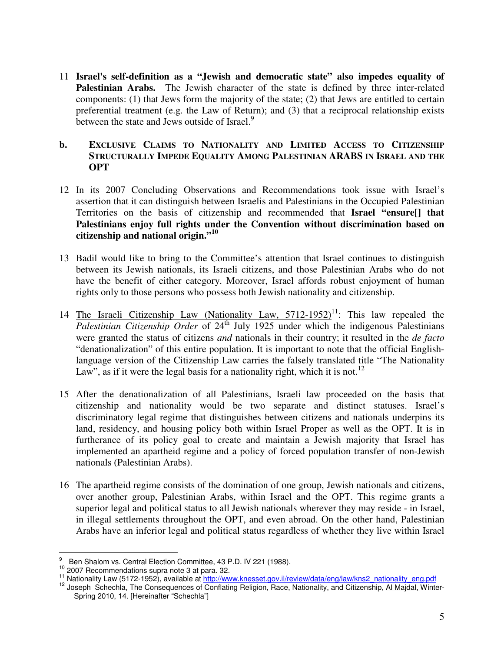11 **Israel's self-definition as a "Jewish and democratic state" also impedes equality of Palestinian Arabs.** The Jewish character of the state is defined by three inter-related components: (1) that Jews form the majority of the state; (2) that Jews are entitled to certain preferential treatment (e.g. the Law of Return); and (3) that a reciprocal relationship exists between the state and Jews outside of Israel.<sup>9</sup>

#### **b. EXCLUSIVE CLAIMS TO NATIONALITY AND LIMITED ACCESS TO CITIZENSHIP STRUCTURALLY IMPEDE EQUALITY AMONG PALESTINIAN ARABS IN ISRAEL AND THE OPT**

- 12 In its 2007 Concluding Observations and Recommendations took issue with Israel's assertion that it can distinguish between Israelis and Palestinians in the Occupied Palestinian Territories on the basis of citizenship and recommended that **Israel "ensure[] that Palestinians enjoy full rights under the Convention without discrimination based on citizenship and national origin."<sup>10</sup>**
- 13 Badil would like to bring to the Committee's attention that Israel continues to distinguish between its Jewish nationals, its Israeli citizens, and those Palestinian Arabs who do not have the benefit of either category. Moreover, Israel affords robust enjoyment of human rights only to those persons who possess both Jewish nationality and citizenship.
- 14 The Israeli Citizenship Law (Nationality Law,  $5712-1952$ )<sup>11</sup>: This law repealed the *Palestinian Citizenship Order* of 24<sup>th</sup> July 1925 under which the indigenous Palestinians were granted the status of citizens *and* nationals in their country; it resulted in the *de facto* "denationalization" of this entire population. It is important to note that the official Englishlanguage version of the Citizenship Law carries the falsely translated title "The Nationality Law", as if it were the legal basis for a nationality right, which it is not.<sup>12</sup>
- 15 After the denationalization of all Palestinians, Israeli law proceeded on the basis that citizenship and nationality would be two separate and distinct statuses. Israel's discriminatory legal regime that distinguishes between citizens and nationals underpins its land, residency, and housing policy both within Israel Proper as well as the OPT. It is in furtherance of its policy goal to create and maintain a Jewish majority that Israel has implemented an apartheid regime and a policy of forced population transfer of non-Jewish nationals (Palestinian Arabs).
- 16 The apartheid regime consists of the domination of one group, Jewish nationals and citizens, over another group, Palestinian Arabs, within Israel and the OPT. This regime grants a superior legal and political status to all Jewish nationals wherever they may reside - in Israel, in illegal settlements throughout the OPT, and even abroad. On the other hand, Palestinian Arabs have an inferior legal and political status regardless of whether they live within Israel

 $\overline{a}$ Ben Shalom vs. Central Election Committee, 43 P.D. IV 221 (1988).

<sup>10</sup> 2007 Recommendations supra note 3 at para. 32.

<sup>&</sup>lt;sup>11</sup> Nationality Law (5172-1952), available at http://www.knesset.gov.il/review/data/eng/law/kns2\_nationality\_eng.pdf

<sup>&</sup>lt;sup>12</sup> Joseph Schechla, The Consequences of Conflating Religion, Race, Nationality, and Citizenship, Al Majdal, Winter-Spring 2010, 14. [Hereinafter "Schechla"]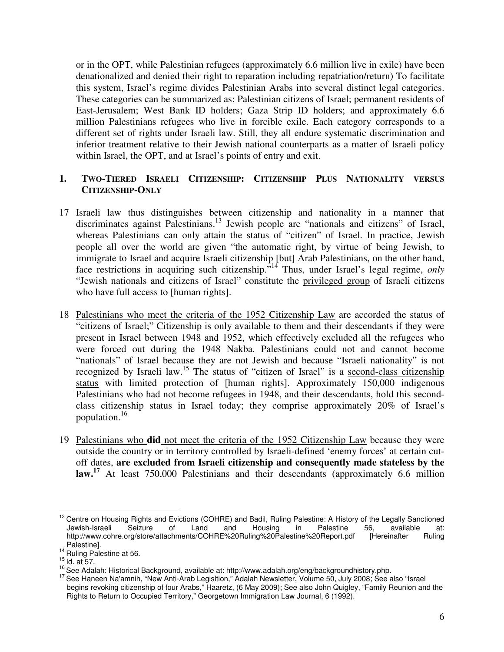or in the OPT, while Palestinian refugees (approximately 6.6 million live in exile) have been denationalized and denied their right to reparation including repatriation/return) To facilitate this system, Israel's regime divides Palestinian Arabs into several distinct legal categories. These categories can be summarized as: Palestinian citizens of Israel; permanent residents of East-Jerusalem; West Bank ID holders; Gaza Strip ID holders; and approximately 6.6 million Palestinians refugees who live in forcible exile. Each category corresponds to a different set of rights under Israeli law. Still, they all endure systematic discrimination and inferior treatment relative to their Jewish national counterparts as a matter of Israeli policy within Israel, the OPT, and at Israel's points of entry and exit.

# **1. TWO-TIERED ISRAELI CITIZENSHIP: CITIZENSHIP PLUS NATIONALITY VERSUS CITIZENSHIP-ONLY**

- 17 Israeli law thus distinguishes between citizenship and nationality in a manner that discriminates against Palestinians.<sup>13</sup> Jewish people are "nationals and citizens" of Israel, whereas Palestinians can only attain the status of "citizen" of Israel. In practice, Jewish people all over the world are given "the automatic right, by virtue of being Jewish, to immigrate to Israel and acquire Israeli citizenship [but] Arab Palestinians, on the other hand, face restrictions in acquiring such citizenship."<sup>14</sup> Thus, under Israel's legal regime, *only* "Jewish nationals and citizens of Israel" constitute the privileged group of Israeli citizens who have full access to [human rights].
- 18 Palestinians who meet the criteria of the 1952 Citizenship Law are accorded the status of "citizens of Israel;" Citizenship is only available to them and their descendants if they were present in Israel between 1948 and 1952, which effectively excluded all the refugees who were forced out during the 1948 Nakba. Palestinians could not and cannot become "nationals" of Israel because they are not Jewish and because "Israeli nationality" is not recognized by Israeli law.<sup>15</sup> The status of "citizen of Israel" is a second-class citizenship status with limited protection of [human rights]. Approximately 150,000 indigenous Palestinians who had not become refugees in 1948, and their descendants, hold this secondclass citizenship status in Israel today; they comprise approximately 20% of Israel's population.<sup>16</sup>
- 19 Palestinians who **did** not meet the criteria of the 1952 Citizenship Law because they were outside the country or in territory controlled by Israeli-defined 'enemy forces' at certain cutoff dates, **are excluded from Israeli citizenship and consequently made stateless by the law.<sup>17</sup>** At least 750,000 Palestinians and their descendants (approximately 6.6 million

 $\overline{\phantom{a}}$ <sup>13</sup> Centre on Housing Rights and Evictions (COHRE) and Badil, Ruling Palestine: A History of the Legally Sanctioned Jewish-Israeli Seizure of Land and Housing in Palestine 56, available at: http://www.cohre.org/store/attachments/COHRE%20Ruling%20Palestine%20Report.pdf [Hereinafter Ruling Palestine].

 $14$  Ruling Palestine at 56.

 $15$  Id. at 57.

<sup>&</sup>lt;sup>16</sup> See Adalah: Historical Background, available at: http://www.adalah.org/eng/backgroundhistory.php.

<sup>&</sup>lt;sup>17</sup> See Haneen Na'amnih, "New Anti-Arab Legisltion," Adalah Newsletter, Volume 50, July 2008; See also "Israel begins revoking citizenship of four Arabs," Haaretz, (6 May 2009); See also John Quigley, "Family Reunion and the Rights to Return to Occupied Territory," Georgetown Immigration Law Journal, 6 (1992).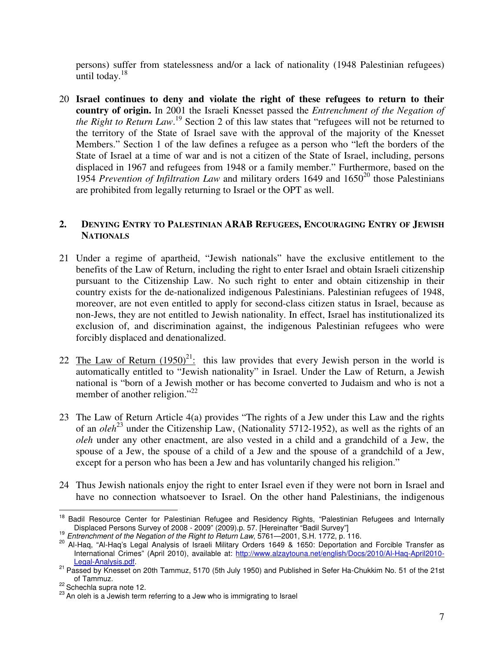persons) suffer from statelessness and/or a lack of nationality (1948 Palestinian refugees) until today. $18$ 

20 **Israel continues to deny and violate the right of these refugees to return to their country of origin.** In 2001 the Israeli Knesset passed the *Entrenchment of the Negation of the Right to Return Law*. <sup>19</sup> Section 2 of this law states that "refugees will not be returned to the territory of the State of Israel save with the approval of the majority of the Knesset Members." Section 1 of the law defines a refugee as a person who "left the borders of the State of Israel at a time of war and is not a citizen of the State of Israel, including, persons displaced in 1967 and refugees from 1948 or a family member." Furthermore, based on the 1954 *Prevention of Infiltration Law* and military orders 1649 and 1650<sup>20</sup> those Palestinians are prohibited from legally returning to Israel or the OPT as well.

# **2. DENYING ENTRY TO PALESTINIAN ARAB REFUGEES, ENCOURAGING ENTRY OF JEWISH NATIONALS**

- 21 Under a regime of apartheid, "Jewish nationals" have the exclusive entitlement to the benefits of the Law of Return, including the right to enter Israel and obtain Israeli citizenship pursuant to the Citizenship Law. No such right to enter and obtain citizenship in their country exists for the de-nationalized indigenous Palestinians. Palestinian refugees of 1948, moreover, are not even entitled to apply for second-class citizen status in Israel, because as non-Jews, they are not entitled to Jewish nationality. In effect, Israel has institutionalized its exclusion of, and discrimination against, the indigenous Palestinian refugees who were forcibly displaced and denationalized.
- 22 The Law of Return  $(1950)^{21}$ : this law provides that every Jewish person in the world is automatically entitled to "Jewish nationality" in Israel. Under the Law of Return, a Jewish national is "born of a Jewish mother or has become converted to Judaism and who is not a member of another religion."<sup>22</sup>
- 23 The Law of Return Article 4(a) provides "The rights of a Jew under this Law and the rights of an *oleh*<sup>23</sup> under the Citizenship Law, (Nationality 5712-1952), as well as the rights of an *oleh* under any other enactment, are also vested in a child and a grandchild of a Jew, the spouse of a Jew, the spouse of a child of a Jew and the spouse of a grandchild of a Jew, except for a person who has been a Jew and has voluntarily changed his religion."
- 24 Thus Jewish nationals enjoy the right to enter Israel even if they were not born in Israel and have no connection whatsoever to Israel. On the other hand Palestinians, the indigenous

 $\overline{\phantom{a}}$ <sup>18</sup>Badil Resource Center for Palestinian Refugee and Residency Rights, "Palestinian Refugees and Internally Displaced Persons Survey of 2008 - 2009" (2009).p. 57. [Hereinafter "Badil Survey"]

<sup>&</sup>lt;sup>19</sup> Entrenchment of the Negation of the Right to Return Law, 5761-2001, S.H. 1772, p. 116.

<sup>20</sup> Al-Haq, "Al-Haq's Legal Analysis of Israeli Military Orders 1649 & 1650: Deportation and Forcible Transfer as International Crimes" (April 2010), available at: http://www.alzaytouna.net/english/Docs/2010/Al-Haq-April2010- Legal-Analysis.pdf.

<sup>&</sup>lt;sup>21</sup> Passed by Knesset on 20th Tammuz, 5170 (5th July 1950) and Published in Sefer Ha-Chukkim No. 51 of the 21st of Tammuz.

<sup>&</sup>lt;sup>22</sup> Schechla supra note 12.

<sup>&</sup>lt;sup>23</sup> An oleh is a Jewish term referring to a Jew who is immigrating to Israel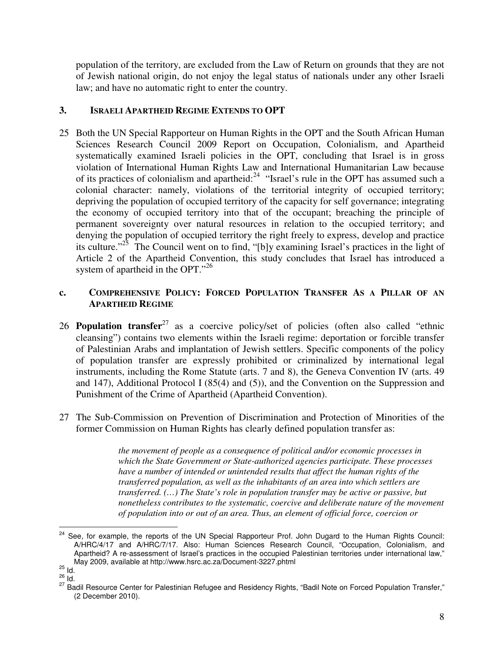population of the territory, are excluded from the Law of Return on grounds that they are not of Jewish national origin, do not enjoy the legal status of nationals under any other Israeli law; and have no automatic right to enter the country.

#### **3. ISRAELI APARTHEID REGIME EXTENDS TO OPT**

25 Both the UN Special Rapporteur on Human Rights in the OPT and the South African Human Sciences Research Council 2009 Report on Occupation, Colonialism, and Apartheid systematically examined Israeli policies in the OPT, concluding that Israel is in gross violation of International Human Rights Law and International Humanitarian Law because of its practices of colonialism and apartheid: $^{24}$  "Israel's rule in the OPT has assumed such a colonial character: namely, violations of the territorial integrity of occupied territory; depriving the population of occupied territory of the capacity for self governance; integrating the economy of occupied territory into that of the occupant; breaching the principle of permanent sovereignty over natural resources in relation to the occupied territory; and denying the population of occupied territory the right freely to express, develop and practice its culture."<sup>25</sup> The Council went on to find, "[b]y examining Israel's practices in the light of Article 2 of the Apartheid Convention, this study concludes that Israel has introduced a system of apartheid in the OPT."<sup>26</sup>

#### **c. COMPREHENSIVE POLICY: FORCED POPULATION TRANSFER AS A PILLAR OF AN APARTHEID REGIME**

- 26 **Population transfer**<sup>27</sup> as a coercive policy/set of policies (often also called "ethnic cleansing") contains two elements within the Israeli regime: deportation or forcible transfer of Palestinian Arabs and implantation of Jewish settlers. Specific components of the policy of population transfer are expressly prohibited or criminalized by international legal instruments, including the Rome Statute (arts. 7 and 8), the Geneva Convention IV (arts. 49 and 147), Additional Protocol I (85(4) and (5)), and the Convention on the Suppression and Punishment of the Crime of Apartheid (Apartheid Convention).
- 27 The Sub-Commission on Prevention of Discrimination and Protection of Minorities of the former Commission on Human Rights has clearly defined population transfer as:

*the movement of people as a consequence of political and/or economic processes in which the State Government or State-authorized agencies participate. These processes have a number of intended or unintended results that affect the human rights of the transferred population, as well as the inhabitants of an area into which settlers are transferred. (…) The State's role in population transfer may be active or passive, but nonetheless contributes to the systematic, coercive and deliberate nature of the movement of population into or out of an area. Thus, an element of official force, coercion or* 

 $\overline{a}$ <sup>24</sup> See, for example, the reports of the UN Special Rapporteur Prof. John Dugard to the Human Rights Council: A/HRC/4/17 and A/HRC/7/17. Also: Human Sciences Research Council, "Occupation, Colonialism, and Apartheid? A re-assessment of Israel's practices in the occupied Palestinian territories under international law," May 2009, available at http://www.hsrc.ac.za/Document-3227.phtml

 $25$  Id.

 $26 \overline{10}$ 

<sup>27</sup> Badil Resource Center for Palestinian Refugee and Residency Rights, "Badil Note on Forced Population Transfer," (2 December 2010).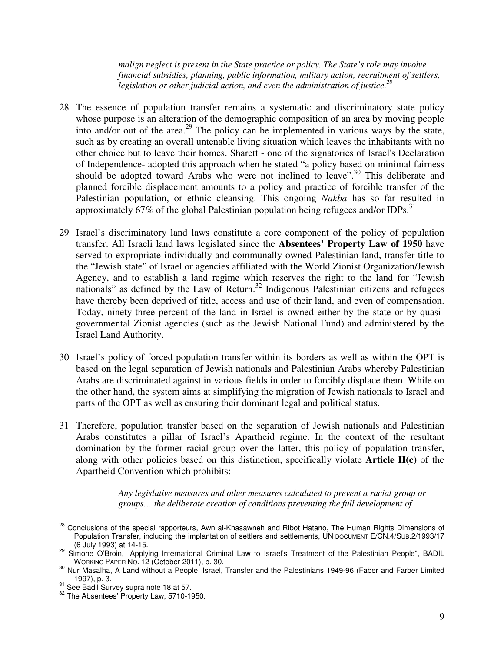*malign neglect is present in the State practice or policy. The State's role may involve financial subsidies, planning, public information, military action, recruitment of settlers, legislation or other judicial action, and even the administration of justice.<sup>28</sup>*

- 28 The essence of population transfer remains a systematic and discriminatory state policy whose purpose is an alteration of the demographic composition of an area by moving people into and/or out of the area.<sup>29</sup> The policy can be implemented in various ways by the state, such as by creating an overall untenable living situation which leaves the inhabitants with no other choice but to leave their homes. Sharett - one of the signatories of Israel's Declaration of Independence- adopted this approach when he stated "a policy based on minimal fairness should be adopted toward Arabs who were not inclined to leave".<sup>30</sup> This deliberate and planned forcible displacement amounts to a policy and practice of forcible transfer of the Palestinian population, or ethnic cleansing. This ongoing *Nakba* has so far resulted in approximately 67% of the global Palestinian population being refugees and/or IDPs.<sup>31</sup>
- 29 Israel's discriminatory land laws constitute a core component of the policy of population transfer. All Israeli land laws legislated since the **Absentees' Property Law of 1950** have served to expropriate individually and communally owned Palestinian land, transfer title to the "Jewish state" of Israel or agencies affiliated with the World Zionist Organization/Jewish Agency, and to establish a land regime which reserves the right to the land for "Jewish nationals" as defined by the Law of Return. $32$  Indigenous Palestinian citizens and refugees have thereby been deprived of title, access and use of their land, and even of compensation. Today, ninety-three percent of the land in Israel is owned either by the state or by quasigovernmental Zionist agencies (such as the Jewish National Fund) and administered by the Israel Land Authority.
- 30 Israel's policy of forced population transfer within its borders as well as within the OPT is based on the legal separation of Jewish nationals and Palestinian Arabs whereby Palestinian Arabs are discriminated against in various fields in order to forcibly displace them. While on the other hand, the system aims at simplifying the migration of Jewish nationals to Israel and parts of the OPT as well as ensuring their dominant legal and political status.
- 31 Therefore, population transfer based on the separation of Jewish nationals and Palestinian Arabs constitutes a pillar of Israel's Apartheid regime. In the context of the resultant domination by the former racial group over the latter, this policy of population transfer, along with other policies based on this distinction, specifically violate **Article II(c)** of the Apartheid Convention which prohibits:

*Any legislative measures and other measures calculated to prevent a racial group or groups… the deliberate creation of conditions preventing the full development of* 

 $\overline{\phantom{a}}$ <sup>28</sup> Conclusions of the special rapporteurs, Awn al-Khasawneh and Ribot Hatano, The Human Rights Dimensions of Population Transfer, including the implantation of settlers and settlements, UN DOCUMENT E/CN.4/SUB.2/1993/17 (6 July 1993) at 14-15.

<sup>29</sup> Simone O'Broin, "Applying International Criminal Law to Israel's Treatment of the Palestinian People", BADIL WORKING PAPER NO. 12 (October 2011), p. 30.

<sup>30</sup> Nur Masalha, A Land without a People: Israel, Transfer and the Palestinians 1949-96 (Faber and Farber Limited 1997), p. 3.

 $31$  See Badil Survey supra note 18 at 57.

<sup>&</sup>lt;sup>32</sup> The Absentees' Property Law, 5710-1950.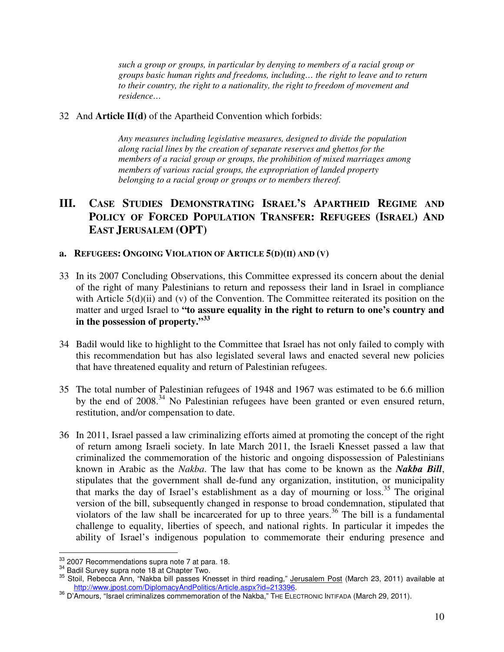*such a group or groups, in particular by denying to members of a racial group or groups basic human rights and freedoms, including… the right to leave and to return to their country, the right to a nationality, the right to freedom of movement and residence…* 

#### 32 And **Article II(d)** of the Apartheid Convention which forbids:

*Any measures including legislative measures, designed to divide the population along racial lines by the creation of separate reserves and ghettos for the members of a racial group or groups, the prohibition of mixed marriages among members of various racial groups, the expropriation of landed property belonging to a racial group or groups or to members thereof.*

# **III. CASE STUDIES DEMONSTRATING ISRAEL'S APARTHEID REGIME AND POLICY OF FORCED POPULATION TRANSFER: REFUGEES (ISRAEL) AND EAST JERUSALEM (OPT)**

#### **a. REFUGEES: ONGOING VIOLATION OF ARTICLE 5(D)(II) AND (V)**

- 33 In its 2007 Concluding Observations, this Committee expressed its concern about the denial of the right of many Palestinians to return and repossess their land in Israel in compliance with Article 5(d)(ii) and (v) of the Convention. The Committee reiterated its position on the matter and urged Israel to **"to assure equality in the right to return to one's country and in the possession of property."<sup>33</sup>**
- 34 Badil would like to highlight to the Committee that Israel has not only failed to comply with this recommendation but has also legislated several laws and enacted several new policies that have threatened equality and return of Palestinian refugees.
- 35 The total number of Palestinian refugees of 1948 and 1967 was estimated to be 6.6 million by the end of 2008.<sup>34</sup> No Palestinian refugees have been granted or even ensured return, restitution, and/or compensation to date.
- 36 In 2011, Israel passed a law criminalizing efforts aimed at promoting the concept of the right of return among Israeli society. In late March 2011, the Israeli Knesset passed a law that criminalized the commemoration of the historic and ongoing dispossession of Palestinians known in Arabic as the *Nakba*. The law that has come to be known as the *Nakba Bill*, stipulates that the government shall de-fund any organization, institution, or municipality that marks the day of Israel's establishment as a day of mourning or  $loss$ <sup>35</sup>. The original version of the bill, subsequently changed in response to broad condemnation, stipulated that violators of the law shall be incarcerated for up to three years.<sup>36</sup> The bill is a fundamental challenge to equality, liberties of speech, and national rights. In particular it impedes the ability of Israel's indigenous population to commemorate their enduring presence and

 $\overline{a}$  $33$  2007 Recommendations supra note 7 at para. 18.

<sup>&</sup>lt;sup>34</sup> Badil Survey supra note 18 at Chapter Two.

<sup>35</sup> Stoil, Rebecca Ann, "Nakba bill passes Knesset in third reading," Jerusalem Post (March 23, 2011) available at http://www.jpost.com/DiplomacyAndPolitics/Article.aspx?id=213396.

<sup>36</sup> D'Amours. "Israel criminalizes commemoration of the Nakba," THE ELECTRONIC INTIFADA (March 29, 2011).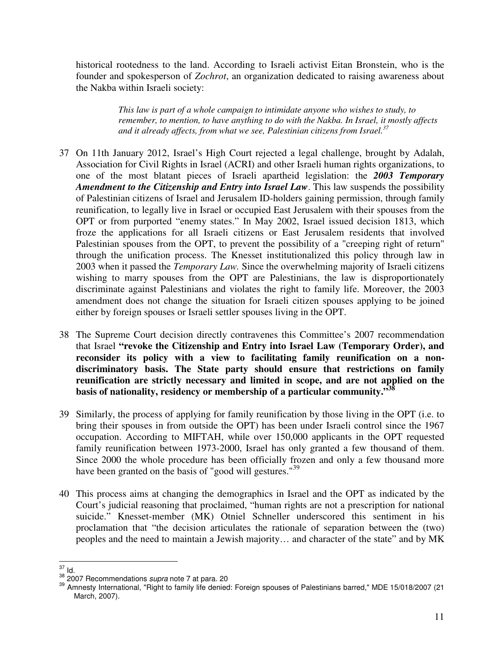historical rootedness to the land. According to Israeli activist Eitan Bronstein, who is the founder and spokesperson of *Zochrot*, an organization dedicated to raising awareness about the Nakba within Israeli society:

> *This law is part of a whole campaign to intimidate anyone who wishes to study, to remember, to mention, to have anything to do with the Nakba. In Israel, it mostly affects and it already affects, from what we see, Palestinian citizens from Israel.<sup>37</sup>*

- 37 On 11th January 2012, Israel's High Court rejected a legal challenge, brought by Adalah, Association for Civil Rights in Israel (ACRI) and other Israeli human rights organizations, to one of the most blatant pieces of Israeli apartheid legislation: the *2003 Temporary Amendment to the Citizenship and Entry into Israel Law*. This law suspends the possibility of Palestinian citizens of Israel and Jerusalem ID-holders gaining permission, through family reunification, to legally live in Israel or occupied East Jerusalem with their spouses from the OPT or from purported "enemy states." In May 2002, Israel issued decision 1813, which froze the applications for all Israeli citizens or East Jerusalem residents that involved Palestinian spouses from the OPT, to prevent the possibility of a "creeping right of return" through the unification process. The Knesset institutionalized this policy through law in 2003 when it passed the *Temporary Law.* Since the overwhelming majority of Israeli citizens wishing to marry spouses from the OPT are Palestinians, the law is disproportionately discriminate against Palestinians and violates the right to family life. Moreover, the 2003 amendment does not change the situation for Israeli citizen spouses applying to be joined either by foreign spouses or Israeli settler spouses living in the OPT.
- 38 The Supreme Court decision directly contravenes this Committee's 2007 recommendation that Israel **"revoke the Citizenship and Entry into Israel Law (Temporary Order), and reconsider its policy with a view to facilitating family reunification on a nondiscriminatory basis. The State party should ensure that restrictions on family reunification are strictly necessary and limited in scope, and are not applied on the basis of nationality, residency or membership of a particular community."<sup>38</sup>**
- 39 Similarly, the process of applying for family reunification by those living in the OPT (i.e. to bring their spouses in from outside the OPT) has been under Israeli control since the 1967 occupation. According to MIFTAH, while over 150,000 applicants in the OPT requested family reunification between 1973-2000, Israel has only granted a few thousand of them. Since 2000 the whole procedure has been officially frozen and only a few thousand more have been granted on the basis of "good will gestures."<sup>39</sup>
- 40 This process aims at changing the demographics in Israel and the OPT as indicated by the Court's judicial reasoning that proclaimed, "human rights are not a prescription for national suicide." Knesset-member (MK) Otniel Schneller underscored this sentiment in his proclamation that "the decision articulates the rationale of separation between the (two) peoples and the need to maintain a Jewish majority… and character of the state" and by MK

 $\overline{a}$  $\frac{37}{11}$  Id.

<sup>&</sup>lt;sup>38</sup> 2007 Recommendations *supra* note 7 at para. 20

<sup>39</sup> Amnesty International, "Right to family life denied: Foreign spouses of Palestinians barred," MDE 15/018/2007 (21 March, 2007).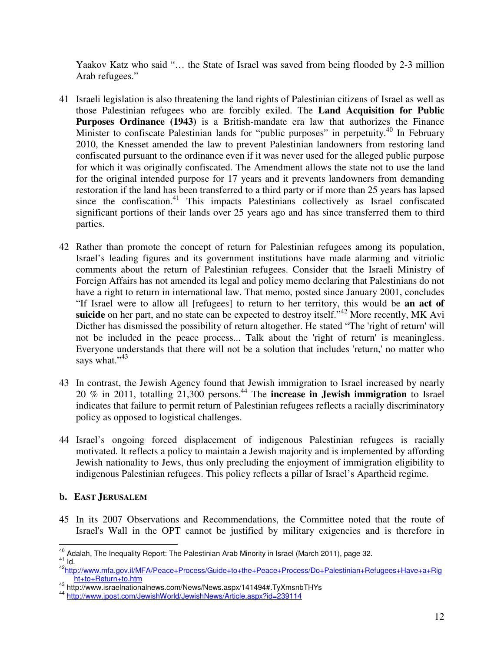Yaakov Katz who said "… the State of Israel was saved from being flooded by 2-3 million Arab refugees."

- 41 Israeli legislation is also threatening the land rights of Palestinian citizens of Israel as well as those Palestinian refugees who are forcibly exiled. The **Land Acquisition for Public Purposes Ordinance (1943)** is a British-mandate era law that authorizes the Finance Minister to confiscate Palestinian lands for "public purposes" in perpetuity.<sup>40</sup> In February 2010, the Knesset amended the law to prevent Palestinian landowners from restoring land confiscated pursuant to the ordinance even if it was never used for the alleged public purpose for which it was originally confiscated. The Amendment allows the state not to use the land for the original intended purpose for 17 years and it prevents landowners from demanding restoration if the land has been transferred to a third party or if more than 25 years has lapsed since the confiscation.<sup>41</sup> This impacts Palestinians collectively as Israel confiscated significant portions of their lands over 25 years ago and has since transferred them to third parties.
- 42 Rather than promote the concept of return for Palestinian refugees among its population, Israel's leading figures and its government institutions have made alarming and vitriolic comments about the return of Palestinian refugees. Consider that the Israeli Ministry of Foreign Affairs has not amended its legal and policy memo declaring that Palestinians do not have a right to return in international law. That memo, posted since January 2001, concludes "If Israel were to allow all [refugees] to return to her territory, this would be **an act of**  suicide on her part, and no state can be expected to destroy itself.<sup>342</sup> More recently, MK Avi Dicther has dismissed the possibility of return altogether. He stated "The 'right of return' will not be included in the peace process... Talk about the 'right of return' is meaningless. Everyone understands that there will not be a solution that includes 'return,' no matter who says what."<sup>43</sup>
- 43 In contrast, the Jewish Agency found that Jewish immigration to Israel increased by nearly 20 % in 2011, totalling 21,300 persons.<sup>44</sup> The **increase in Jewish immigration** to Israel indicates that failure to permit return of Palestinian refugees reflects a racially discriminatory policy as opposed to logistical challenges.
- 44 Israel's ongoing forced displacement of indigenous Palestinian refugees is racially motivated. It reflects a policy to maintain a Jewish majority and is implemented by affording Jewish nationality to Jews, thus only precluding the enjoyment of immigration eligibility to indigenous Palestinian refugees. This policy reflects a pillar of Israel's Apartheid regime.

# **b. EAST JERUSALEM**

45 In its 2007 Observations and Recommendations, the Committee noted that the route of Israel's Wall in the OPT cannot be justified by military exigencies and is therefore in

 $\overline{\phantom{a}}$  $^{40}$  Adalah, The Inequality Report: The Palestinian Arab Minority in Israel (March 2011), page 32.

 $41 \overline{1}$ d.

<sup>42</sup>http://www.mfa.gov.il/MFA/Peace+Process/Guide+to+the+Peace+Process/Do+Palestinian+Refugees+Have+a+Rig ht+to+Return+to.htm

<sup>43</sup> http://www.israelnationalnews.com/News/News.aspx/141494#.TyXmsnbTHYs

<sup>&</sup>lt;sup>44</sup> http://www.jpost.com/JewishWorld/JewishNews/Article.aspx?id=239114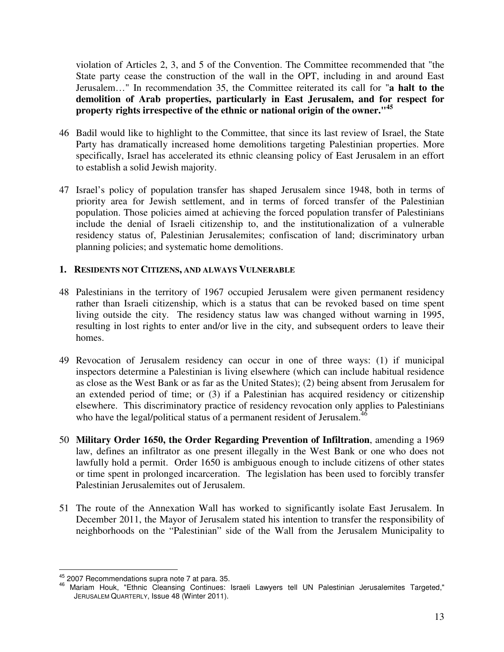violation of Articles 2, 3, and 5 of the Convention. The Committee recommended that "the State party cease the construction of the wall in the OPT, including in and around East Jerusalem…" In recommendation 35, the Committee reiterated its call for "**a halt to the demolition of Arab properties, particularly in East Jerusalem, and for respect for property rights irrespective of the ethnic or national origin of the owner."<sup>45</sup>**

- 46 Badil would like to highlight to the Committee, that since its last review of Israel, the State Party has dramatically increased home demolitions targeting Palestinian properties. More specifically, Israel has accelerated its ethnic cleansing policy of East Jerusalem in an effort to establish a solid Jewish majority.
- 47 Israel's policy of population transfer has shaped Jerusalem since 1948, both in terms of priority area for Jewish settlement, and in terms of forced transfer of the Palestinian population. Those policies aimed at achieving the forced population transfer of Palestinians include the denial of Israeli citizenship to, and the institutionalization of a vulnerable residency status of, Palestinian Jerusalemites; confiscation of land; discriminatory urban planning policies; and systematic home demolitions.

#### **1. RESIDENTS NOT CITIZENS, AND ALWAYS VULNERABLE**

- 48 Palestinians in the territory of 1967 occupied Jerusalem were given permanent residency rather than Israeli citizenship, which is a status that can be revoked based on time spent living outside the city. The residency status law was changed without warning in 1995, resulting in lost rights to enter and/or live in the city, and subsequent orders to leave their homes.
- 49 Revocation of Jerusalem residency can occur in one of three ways: (1) if municipal inspectors determine a Palestinian is living elsewhere (which can include habitual residence as close as the West Bank or as far as the United States); (2) being absent from Jerusalem for an extended period of time; or (3) if a Palestinian has acquired residency or citizenship elsewhere. This discriminatory practice of residency revocation only applies to Palestinians who have the legal/political status of a permanent resident of Jerusalem.<sup>46</sup>
- 50 **Military Order 1650, the Order Regarding Prevention of Infiltration**, amending a 1969 law, defines an infiltrator as one present illegally in the West Bank or one who does not lawfully hold a permit. Order 1650 is ambiguous enough to include citizens of other states or time spent in prolonged incarceration. The legislation has been used to forcibly transfer Palestinian Jerusalemites out of Jerusalem.
- 51 The route of the Annexation Wall has worked to significantly isolate East Jerusalem. In December 2011, the Mayor of Jerusalem stated his intention to transfer the responsibility of neighborhoods on the "Palestinian" side of the Wall from the Jerusalem Municipality to

 $\overline{\phantom{a}}$  $^{45}$  2007 Recommendations supra note 7 at para. 35.

<sup>&</sup>lt;sup>46</sup> Mariam Houk, "Ethnic Cleansing Continues: Israeli Lawyers tell UN Palestinian Jerusalemites Targeted," JERUSALEM QUARTERLY, Issue 48 (Winter 2011).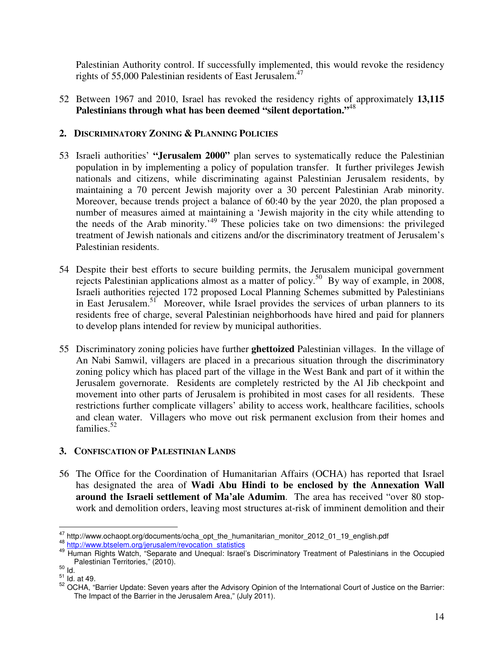Palestinian Authority control. If successfully implemented, this would revoke the residency rights of 55,000 Palestinian residents of East Jerusalem.<sup>47</sup>

52 Between 1967 and 2010, Israel has revoked the residency rights of approximately **13,115 Palestinians through what has been deemed "silent deportation."**<sup>48</sup>

### **2. DISCRIMINATORY ZONING & PLANNING POLICIES**

- 53 Israeli authorities' **"Jerusalem 2000"** plan serves to systematically reduce the Palestinian population in by implementing a policy of population transfer. It further privileges Jewish nationals and citizens, while discriminating against Palestinian Jerusalem residents, by maintaining a 70 percent Jewish majority over a 30 percent Palestinian Arab minority. Moreover, because trends project a balance of 60:40 by the year 2020, the plan proposed a number of measures aimed at maintaining a 'Jewish majority in the city while attending to the needs of the Arab minority.'<sup>49</sup> These policies take on two dimensions: the privileged treatment of Jewish nationals and citizens and/or the discriminatory treatment of Jerusalem's Palestinian residents.
- 54 Despite their best efforts to secure building permits, the Jerusalem municipal government rejects Palestinian applications almost as a matter of policy.<sup>50</sup> By way of example, in 2008, Israeli authorities rejected 172 proposed Local Planning Schemes submitted by Palestinians in East Jerusalem.<sup>51</sup> Moreover, while Israel provides the services of urban planners to its residents free of charge, several Palestinian neighborhoods have hired and paid for planners to develop plans intended for review by municipal authorities.
- 55 Discriminatory zoning policies have further **ghettoized** Palestinian villages. In the village of An Nabi Samwil, villagers are placed in a precarious situation through the discriminatory zoning policy which has placed part of the village in the West Bank and part of it within the Jerusalem governorate. Residents are completely restricted by the Al Jib checkpoint and movement into other parts of Jerusalem is prohibited in most cases for all residents. These restrictions further complicate villagers' ability to access work, healthcare facilities, schools and clean water. Villagers who move out risk permanent exclusion from their homes and families. $52$

# **3. CONFISCATION OF PALESTINIAN LANDS**

56 The Office for the Coordination of Humanitarian Affairs (OCHA) has reported that Israel has designated the area of **Wadi Abu Hindi to be enclosed by the Annexation Wall around the Israeli settlement of Ma'ale Adumim**. The area has received "over 80 stopwork and demolition orders, leaving most structures at-risk of imminent demolition and their

 $\overline{\phantom{a}}$  $\frac{47}{1}$ http://www.ochaopt.org/documents/ocha\_opt\_the\_humanitarian\_monitor\_2012\_01\_19\_english.pdf

<sup>48</sup> http://www.btselem.org/jerusalem/revocation\_statistics

<sup>&</sup>lt;sup>49</sup> Human Rights Watch, "Separate and Unequal: Israel's Discriminatory Treatment of Palestinians in the Occupied Palestinian Territories," (2010).

 $50$  Id.

 $51$  Id. at 49.

<sup>10.</sup> at +3.<br><sup>52</sup> OCHA, "Barrier Update: Seven years after the Advisory Opinion of the International Court of Justice on the Barrier: The Impact of the Barrier in the Jerusalem Area," (July 2011).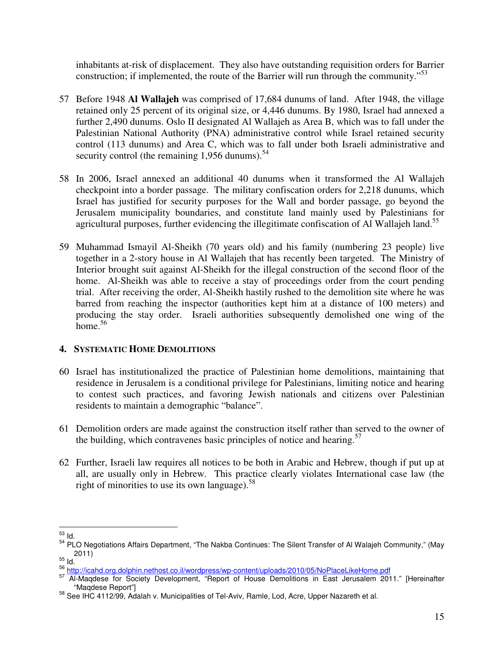inhabitants at-risk of displacement. They also have outstanding requisition orders for Barrier construction; if implemented, the route of the Barrier will run through the community."<sup>53</sup>

- 57 Before 1948 **Al Wallajeh** was comprised of 17,684 dunums of land. After 1948, the village retained only 25 percent of its original size, or 4,446 dunums. By 1980, Israel had annexed a further 2,490 dunums. Oslo II designated Al Wallajeh as Area B, which was to fall under the Palestinian National Authority (PNA) administrative control while Israel retained security control (113 dunums) and Area C, which was to fall under both Israeli administrative and security control (the remaining  $1,956$  dunums).<sup>54</sup>
- 58 In 2006, Israel annexed an additional 40 dunums when it transformed the Al Wallajeh checkpoint into a border passage. The military confiscation orders for 2,218 dunums, which Israel has justified for security purposes for the Wall and border passage, go beyond the Jerusalem municipality boundaries, and constitute land mainly used by Palestinians for agricultural purposes, further evidencing the illegitimate confiscation of Al Wallajeh land.<sup>55</sup>
- 59 Muhammad Ismayil Al-Sheikh (70 years old) and his family (numbering 23 people) live together in a 2-story house in Al Wallajeh that has recently been targeted. The Ministry of Interior brought suit against Al-Sheikh for the illegal construction of the second floor of the home. Al-Sheikh was able to receive a stay of proceedings order from the court pending trial. After receiving the order, Al-Sheikh hastily rushed to the demolition site where he was barred from reaching the inspector (authorities kept him at a distance of 100 meters) and producing the stay order. Israeli authorities subsequently demolished one wing of the home. $56$

# **4. SYSTEMATIC HOME DEMOLITIONS**

- 60 Israel has institutionalized the practice of Palestinian home demolitions, maintaining that residence in Jerusalem is a conditional privilege for Palestinians, limiting notice and hearing to contest such practices, and favoring Jewish nationals and citizens over Palestinian residents to maintain a demographic "balance".
- 61 Demolition orders are made against the construction itself rather than served to the owner of the building, which contravenes basic principles of notice and hearing.<sup>57</sup>
- 62 Further, Israeli law requires all notices to be both in Arabic and Hebrew, though if put up at all, are usually only in Hebrew. This practice clearly violates International case law (the right of minorities to use its own language). $58$

 $\overline{a}$  $\frac{53}{1}$  Id.

<sup>54</sup> PLO Negotiations Affairs Department, "The Nakba Continues: The Silent Transfer of Al Walajeh Community," (May 2011)

<sup>55</sup> Id.

<sup>56</sup> http://icahd.org.dolphin.nethost.co.il/wordpress/wp-content/uploads/2010/05/NoPlaceLikeHome.pdf

<sup>57</sup> Al-Maqdese for Society Development, "Report of House Demolitions in East Jerusalem 2011." [Hereinafter "Maqdese Report"]

<sup>58</sup> See IHC 4112/99, Adalah v. Municipalities of Tel-Aviv, Ramle, Lod, Acre, Upper Nazareth et al.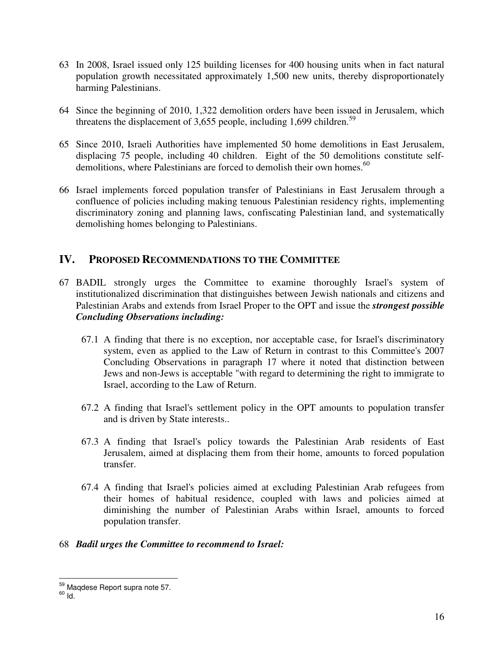- 63 In 2008, Israel issued only 125 building licenses for 400 housing units when in fact natural population growth necessitated approximately 1,500 new units, thereby disproportionately harming Palestinians.
- 64 Since the beginning of 2010, 1,322 demolition orders have been issued in Jerusalem, which threatens the displacement of 3,655 people, including 1,699 children.<sup>59</sup>
- 65 Since 2010, Israeli Authorities have implemented 50 home demolitions in East Jerusalem, displacing 75 people, including 40 children. Eight of the 50 demolitions constitute selfdemolitions, where Palestinians are forced to demolish their own homes.<sup>60</sup>
- 66 Israel implements forced population transfer of Palestinians in East Jerusalem through a confluence of policies including making tenuous Palestinian residency rights, implementing discriminatory zoning and planning laws, confiscating Palestinian land, and systematically demolishing homes belonging to Palestinians.

# **IV. PROPOSED RECOMMENDATIONS TO THE COMMITTEE**

- 67 BADIL strongly urges the Committee to examine thoroughly Israel's system of institutionalized discrimination that distinguishes between Jewish nationals and citizens and Palestinian Arabs and extends from Israel Proper to the OPT and issue the *strongest possible Concluding Observations including:* 
	- 67.1 A finding that there is no exception, nor acceptable case, for Israel's discriminatory system, even as applied to the Law of Return in contrast to this Committee's 2007 Concluding Observations in paragraph 17 where it noted that distinction between Jews and non-Jews is acceptable "with regard to determining the right to immigrate to Israel, according to the Law of Return.
	- 67.2 A finding that Israel's settlement policy in the OPT amounts to population transfer and is driven by State interests..
	- 67.3 A finding that Israel's policy towards the Palestinian Arab residents of East Jerusalem, aimed at displacing them from their home, amounts to forced population transfer.
	- 67.4 A finding that Israel's policies aimed at excluding Palestinian Arab refugees from their homes of habitual residence, coupled with laws and policies aimed at diminishing the number of Palestinian Arabs within Israel, amounts to forced population transfer.

# 68 *Badil urges the Committee to recommend to Israel:*

 $\overline{a}$ <sup>59</sup> Maqdese Report supra note 57.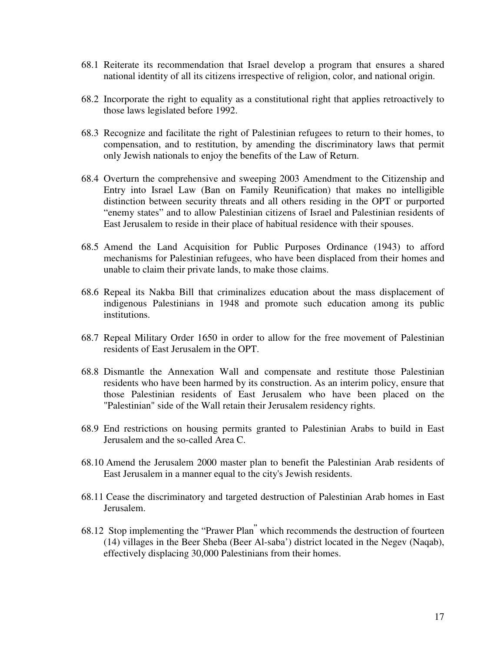- 68.1 Reiterate its recommendation that Israel develop a program that ensures a shared national identity of all its citizens irrespective of religion, color, and national origin.
- 68.2 Incorporate the right to equality as a constitutional right that applies retroactively to those laws legislated before 1992.
- 68.3 Recognize and facilitate the right of Palestinian refugees to return to their homes, to compensation, and to restitution, by amending the discriminatory laws that permit only Jewish nationals to enjoy the benefits of the Law of Return.
- 68.4 Overturn the comprehensive and sweeping 2003 Amendment to the Citizenship and Entry into Israel Law (Ban on Family Reunification) that makes no intelligible distinction between security threats and all others residing in the OPT or purported "enemy states" and to allow Palestinian citizens of Israel and Palestinian residents of East Jerusalem to reside in their place of habitual residence with their spouses.
- 68.5 Amend the Land Acquisition for Public Purposes Ordinance (1943) to afford mechanisms for Palestinian refugees, who have been displaced from their homes and unable to claim their private lands, to make those claims.
- 68.6 Repeal its Nakba Bill that criminalizes education about the mass displacement of indigenous Palestinians in 1948 and promote such education among its public institutions.
- 68.7 Repeal Military Order 1650 in order to allow for the free movement of Palestinian residents of East Jerusalem in the OPT.
- 68.8 Dismantle the Annexation Wall and compensate and restitute those Palestinian residents who have been harmed by its construction. As an interim policy, ensure that those Palestinian residents of East Jerusalem who have been placed on the "Palestinian" side of the Wall retain their Jerusalem residency rights.
- 68.9 End restrictions on housing permits granted to Palestinian Arabs to build in East Jerusalem and the so-called Area C.
- 68.10 Amend the Jerusalem 2000 master plan to benefit the Palestinian Arab residents of East Jerusalem in a manner equal to the city's Jewish residents.
- 68.11 Cease the discriminatory and targeted destruction of Palestinian Arab homes in East Jerusalem.
- 68.12 Stop implementing the "Prawer Plan**"** which recommends the destruction of fourteen (14) villages in the Beer Sheba (Beer Al-saba') district located in the Negev (Naqab), effectively displacing 30,000 Palestinians from their homes.